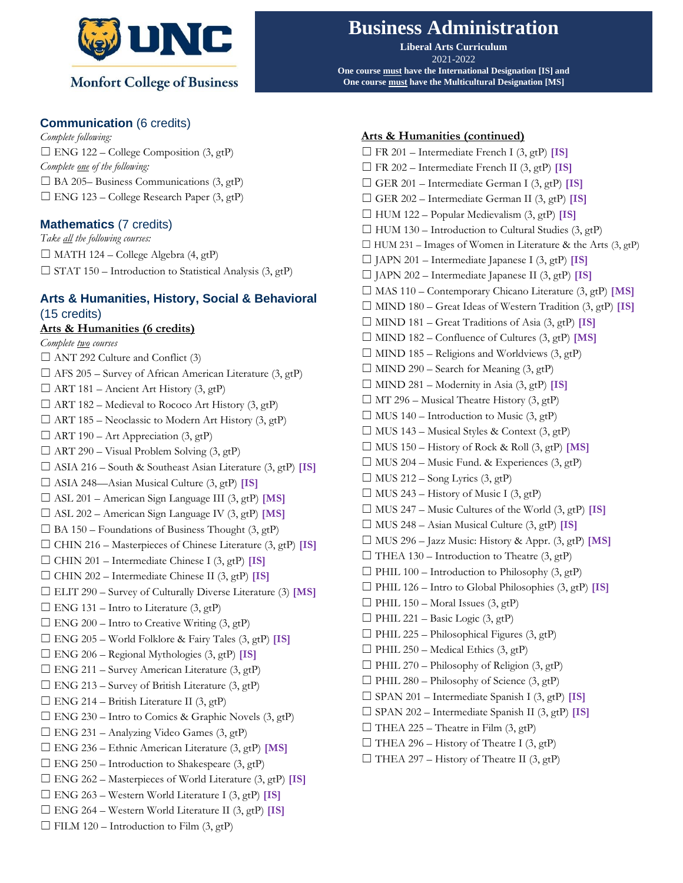

## **Communication** (6 credits)

*Complete following:*  $\Box$  ENG 122 – College Composition (3, gtP) *Complete one of the following:*  $\Box$  BA 205– Business Communications (3, gtP)  $\Box$  ENG 123 – College Research Paper (3, gtP)

## **Mathematics** (7 credits)

*Take all the following courses:* ☐ MATH 124 – College Algebra (4, gtP)  $\Box$  STAT 150 – Introduction to Statistical Analysis (3, gtP)

# **Arts & Humanities, History, Social & Behavioral** (15 credits)

**Arts & Humanities (6 credits)** *Complete two courses*  $\Box$  ANT 292 Culture and Conflict (3)  $\Box$  AFS 205 – Survey of African American Literature (3, gtP)  $\Box$  ART 181 – Ancient Art History (3, gtP)  $\Box$  ART 182 – Medieval to Rococo Art History (3, gtP)  $\Box$  ART 185 – Neoclassic to Modern Art History (3, gtP)  $\Box$  ART 190 – Art Appreciation (3, gtP)  $\Box$  ART 290 – Visual Problem Solving (3, gtP) ☐ ASIA 216 – South & Southeast Asian Literature (3, gtP) **[IS]** ☐ ASIA 248—Asian Musical Culture (3, gtP) **[IS]** ☐ ASL 201 – American Sign Language III (3, gtP) **[MS]** ☐ ASL 202 – American Sign Language IV (3, gtP) **[MS]**  $\Box$  BA 150 – Foundations of Business Thought (3, gtP) ☐ CHIN 216 – Masterpieces of Chinese Literature (3, gtP) **[IS]** ☐ CHIN 201 – Intermediate Chinese I (3, gtP) **[IS]** ☐ CHIN 202 – Intermediate Chinese II (3, gtP) **[IS]** ☐ ELIT 290 – Survey of Culturally Diverse Literature (3) **[MS]**  $\Box$  ENG 131 – Intro to Literature (3, gtP)  $\Box$  ENG 200 – Intro to Creative Writing (3, gtP) ☐ ENG 205 – World Folklore & Fairy Tales (3, gtP) **[IS]** ☐ ENG 206 – Regional Mythologies (3, gtP) **[IS]**  $\Box$  ENG 211 – Survey American Literature (3, gtP)  $\Box$  ENG 213 – Survey of British Literature (3, gtP)  $\Box$  ENG 214 – British Literature II (3, gtP)  $\Box$  ENG 230 – Intro to Comics & Graphic Novels (3, gtP)  $\Box$  ENG 231 – Analyzing Video Games (3, gtP) ☐ ENG 236 – Ethnic American Literature (3, gtP) **[MS]**  $\Box$  ENG 250 – Introduction to Shakespeare (3, gtP) ☐ ENG 262 – Masterpieces of World Literature (3, gtP) **[IS]** ☐ ENG 263 – Western World Literature I (3, gtP) **[IS]** ☐ ENG 264 – Western World Literature II (3, gtP) **[IS]**  $\Box$  FILM 120 – Introduction to Film (3, gtP)

# **Business Administration**

**Liberal Arts Curriculum** 2021-2022 **One course must have the International Designation [IS] and One course must have the Multicultural Designation [MS]**

#### **Arts & Humanities (continued)**

☐ FR 201 – Intermediate French I (3, gtP) **[IS]** ☐ FR 202 – Intermediate French II (3, gtP) **[IS]** ☐ GER 201 – Intermediate German I (3, gtP) **[IS]** ☐ GER 202 – Intermediate German II (3, gtP) **[IS]** ☐ HUM 122 – Popular Medievalism (3, gtP) **[IS]**  $\Box$  HUM 130 – Introduction to Cultural Studies (3, gtP)  $\Box$  HUM 231 – Images of Women in Literature & the Arts (3, gtP) ☐ JAPN 201 – Intermediate Japanese I (3, gtP) **[IS]** ☐ JAPN 202 – Intermediate Japanese II (3, gtP) **[IS]** ☐ MAS 110 – Contemporary Chicano Literature (3, gtP) **[MS]** ☐ MIND 180 – Great Ideas of Western Tradition (3, gtP) **[IS]** ☐ MIND 181 – Great Traditions of Asia (3, gtP) **[IS]** ☐ MIND 182 – Confluence of Cultures (3, gtP) **[MS]**  $\Box$  MIND 185 – Religions and Worldviews (3, gtP)  $\Box$  MIND 290 – Search for Meaning (3, gtP)  $\Box$  MIND 281 – Modernity in Asia (3, gtP) **[IS]**  $\Box$  MT 296 – Musical Theatre History (3, gtP)  $\Box$  MUS 140 – Introduction to Music (3, gtP)  $\Box$  MUS 143 – Musical Styles & Context (3, gtP)  $\Box$  MUS 150 – History of Rock & Roll  $(3,gtP)$  [MS]  $\Box$  MUS 204 – Music Fund. & Experiences (3, gtP)  $\Box$  MUS 212 – Song Lyrics (3, gtP)  $\Box$  MUS 243 – History of Music I (3, gtP)  $\Box$  MUS 247 – Music Cultures of the World  $(3,gt)$  [IS] ☐ MUS 248 – Asian Musical Culture (3, gtP) **[IS]**  $\Box$  MUS 296 – Jazz Music: History & Appr. (3, gtP) **[MS]**  $\Box$  THEA 130 – Introduction to Theatre (3, gtP)  $\Box$  PHIL 100 – Introduction to Philosophy (3, gtP) ☐ PHIL 126 – Intro to Global Philosophies (3, gtP) **[IS]**  $\Box$  PHIL 150 – Moral Issues (3, gtP)  $\Box$  PHIL 221 – Basic Logic (3, gtP)  $\Box$  PHIL 225 – Philosophical Figures (3, gtP)  $\Box$  PHIL 250 – Medical Ethics (3, gtP)  $\Box$  PHIL 270 – Philosophy of Religion (3, gtP)  $\Box$  PHIL 280 – Philosophy of Science (3, gtP) ☐ SPAN 201 – Intermediate Spanish I (3, gtP) **[IS]** ☐ SPAN 202 – Intermediate Spanish II (3, gtP) **[IS]**  $\Box$  THEA 225 – Theatre in Film (3, gtP)  $\Box$  THEA 296 – History of Theatre I (3, gtP)  $\Box$  THEA 297 – History of Theatre II (3, gtP)